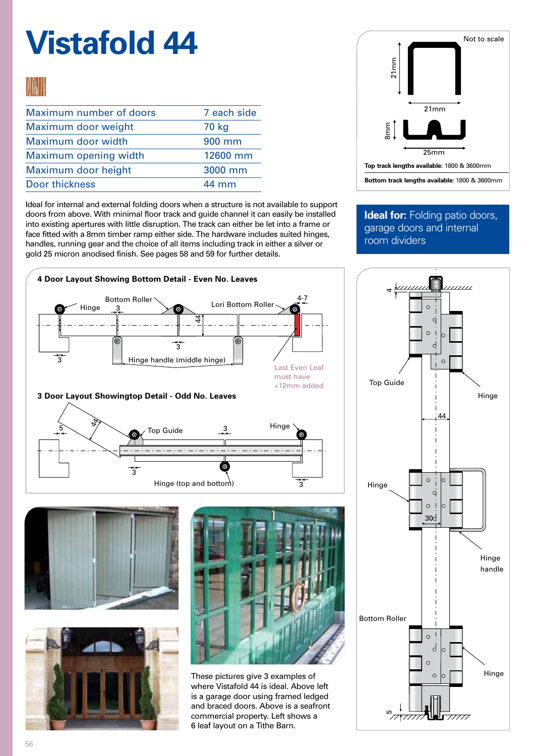# **Vistafold 44**

### **MO N**

| Maximum number of doors | 7 each side     |
|-------------------------|-----------------|
| Maximum door weight     | 70 kg           |
| Maximum door width      | 900 mm          |
| Maximum opening width   | 12600 mm        |
| Maximum door height     | 3000 mm         |
| Door thickness          | $44 \text{ mm}$ |

Ideal for internal and external folding doors when a structure is not available to support doors from above. With minimal floor track and guide channel it can easily be installed into existing apertures with little disruption. The track can either be let into a frame or face fitted with a 8mm timber ramp either side. The hardware includes suited hinges, handles, running gear and the choice of all items including track in either a silver or gold 25 micron anodised finish. See pages 58 and 59 for further details.



### **Ideal for: Folding patio doors,** garage doors and internal room dividers









These pictures give 3 examples of where Vistafold 44 is ideal. Above left is a garage door using framed ledged and braced doors. Above is a seafront commercial property. Left shows a 6 leaf layout on a Tithe Barn.

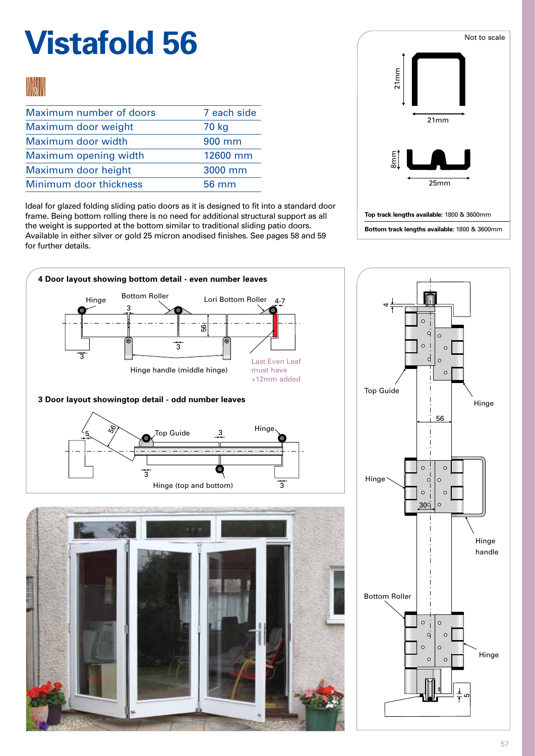# **Vistafold 56**



| Maximum number of doors | 7 each side |
|-------------------------|-------------|
| Maximum door weight     | 70 kg       |
| Maximum door width      | 900 mm      |
| Maximum opening width   | 12600 mm    |
| Maximum door height     | 3000 mm     |
| Minimum door thickness  | 56 mm       |

Ideal for glazed folding sliding patio doors as it is designed to fit into a standard door frame. Being bottom rolling there is no need for additional structural support as all the weight is supported at the bottom similar to traditional sliding patio doors. Available in either silver or gold 25 micron anodised finishes. See pages 58 and 59 for further details.



**4 Door layout showing bottom detail - even number leaves** Bottom Roller Hinge Lori Bottom Roller 4-7 43  $^{\circ}$   $^-$ 44-7 3 56 56 3 3 3  $\mathcal{A}$ Last Even Leaf Hinge handle (middle hinge) 3 must have  $\circ$ +12mm added Top Guide **3 Door layout showingtop detail - odd number leaves Hinge School School School School School School School School School School School School School School School School School School School School School School School** 56  $\overline{\phantom{0}}$ Hinge 48, Top Guide 3 5  $\overline{\mathcal{F}}$ 7  $\circ$  $\circ$ 3 3 3 Hinge  $\overline{a}$  $\overline{O}$  $\circ$ Hinge (top and bottom) 3  $\circ$  $\circ$ 30  $\circ$ 30  $\mathbf{L}$ Bottom Roller



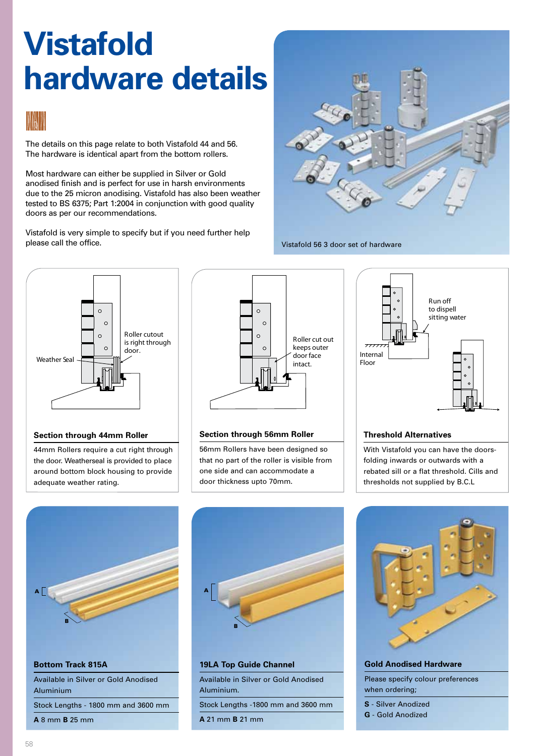## **Vistafold hardware details**



The details on this page relate to both Vistafold 44 and 56. The hardware is identical apart from the bottom rollers.

Most hardware can either be supplied in Silver or Gold anodised finish and is perfect for use in harsh environments due to the 25 micron anodising. Vistafold has also been weather tested to BS 6375; Part 1:2004 in conjunction with good quality doors as per our recommendations.

Vistafold is very simple to specify but if you need further help please call the office.



Vistafold 56 3 door set of hardware



#### **Section through 44mm Roller**

44mm Rollers require a cut right through the door. Weatherseal is provided to place around bottom block housing to provide adequate weather rating.



#### **Section through 56mm Roller**

56mm Rollers have been designed so that no part of the roller is visible from one side and can accommodate a door thickness upto 70mm.



#### **Threshold Alternatives**

With Vistafold you can have the doorsfolding inwards or outwards with a rebated sill or a flat threshold. Cills and thresholds not supplied by B.C.L





### **19LA Top Guide Channel**

Available in Silver or Gold Anodised Aluminium.

Stock Lengths -1800 mm and 3600 mm

**A** 21 mm **B** 21 mm



**Gold Anodised Hardware** Please specify colour preferences when ordering; **S** - Silver Anodized

- **G** Gold Anodized
-